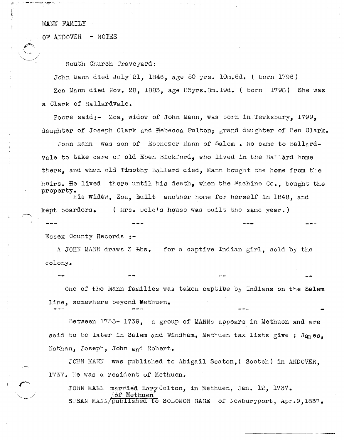MANN FAMILY

OF ANDOVER - NOTES

South Church Graveyard:

John Mann died July 21, 1846, age 50 yrs. 10m.6d. ( born 1796) Zoa Mann died Nov. 28, 1883, age 85yrs.8m.19d. (born 1798) She was a Clark of Ballardvale.

Poore said:- Zoa, widow of John Mann, was born in Tewksbury, 1799. daughter of Joseph Clark and Hebecca Fulton; grand daughter of Ben Clark.

John Mann was son of Ebenezer Mann of Salem • He came to Ballardvale to take care of old Eben Bickford, who lived in the Ballard home there, and when old Timothy Ballard died, Mann bought the home from the heirs. He lived there until his death, when the  $M$ achine Co., bought the property.

His widow, Zoa, built another home for herself in 1848, and kept boarders. ( Mrs. Dole's house was built the sgme year.)

Essex County Records **:-**

A JOHN MANN draws 3  $\text{Ebs.}$  for a captive Indian girl, sold by the colony.

One of the Mann families was taken captive by Indians on the Salem line. somewhere beyond Methuen.

Between 1733- 1739, a group of MANNs appears in Methuen and are said to be later in Salem and Windham. Methuen tax lists give : James. Nathan, Joseph, John and Robert.

JOHN MANN was published to Abigail Seaton. ( Scotch) in ANDOVER. 1737. He was a resident of Methuen.

JOHN MANN married Mary Colton, in Methuen, Jan. 12, 1737.  $\texttt{Method}$ SUSAN MANN/published to SOLOMON GAGE of Newburyport, Apr. 9,1837.